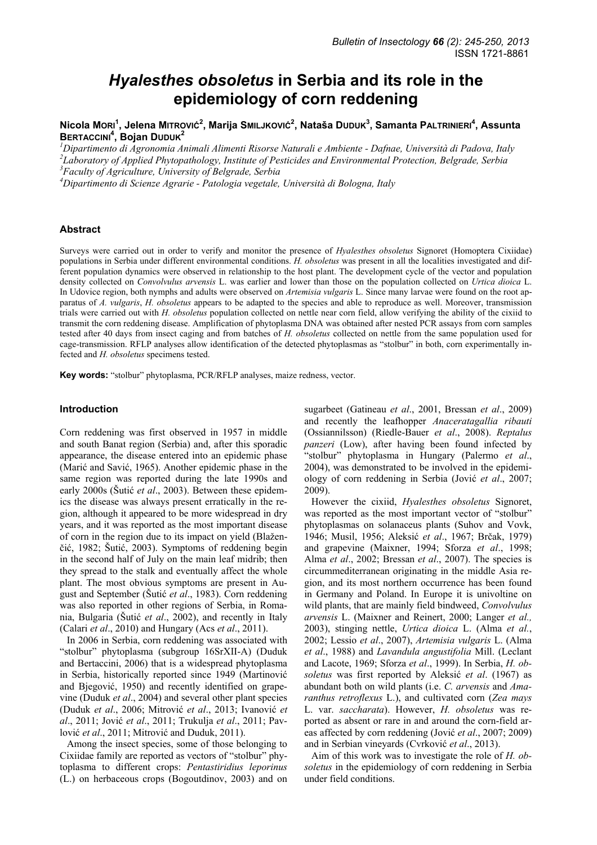# *Hyalesthes obsoletus* **in Serbia and its role in the epidemiology of corn reddening**

**Nicola MORI<sup>1</sup> , Jelena MITROVIĆ<sup>2</sup> , Marija SMILJKOVIĆ<sup>2</sup> , Nataša DUDUK<sup>3</sup> , Samanta PALTRINIERI<sup>4</sup> , Assunta BERTACCINI<sup>4</sup> , Bojan DUDUK<sup>2</sup>**

*1 Dipartimento di Agronomia Animali Alimenti Risorse Naturali e Ambiente - Dafnae, Università di Padova, Italy 2 Laboratory of Applied Phytopathology, Institute of Pesticides and Environmental Protection, Belgrade, Serbia 3 Faculty of Agriculture, University of Belgrade, Serbia* 

*4 Dipartimento di Scienze Agrarie - Patologia vegetale, Università di Bologna, Italy* 

#### **Abstract**

Surveys were carried out in order to verify and monitor the presence of *Hyalesthes obsoletus* Signoret (Homoptera Cixiidae) populations in Serbia under different environmental conditions. *H. obsoletus* was present in all the localities investigated and different population dynamics were observed in relationship to the host plant. The development cycle of the vector and population density collected on *Convolvulus arvensis* L. was earlier and lower than those on the population collected on *Urtica dioica* L. In Udovice region, both nymphs and adults were observed on *Artemisia vulgaris* L. Since many larvae were found on the root apparatus of *A. vulgaris*, *H. obsoletus* appears to be adapted to the species and able to reproduce as well. Moreover, transmission trials were carried out with *H. obsoletus* population collected on nettle near corn field, allow verifying the ability of the cixiid to transmit the corn reddening disease. Amplification of phytoplasma DNA was obtained after nested PCR assays from corn samples tested after 40 days from insect caging and from batches of *H. obsoletus* collected on nettle from the same population used for cage-transmission. RFLP analyses allow identification of the detected phytoplasmas as "stolbur" in both, corn experimentally infected and *H. obsoletus* specimens tested.

**Key words:** "stolbur" phytoplasma, PCR/RFLP analyses, maize redness, vector.

#### **Introduction**

Corn reddening was first observed in 1957 in middle and south Banat region (Serbia) and, after this sporadic appearance, the disease entered into an epidemic phase (Marić and Savić, 1965). Another epidemic phase in the same region was reported during the late 1990s and early 2000s (Šutić *et al*., 2003). Between these epidemics the disease was always present erratically in the region, although it appeared to be more widespread in dry years, and it was reported as the most important disease of corn in the region due to its impact on yield (Blaženčić, 1982; Šutić, 2003). Symptoms of reddening begin in the second half of July on the main leaf midrib; then they spread to the stalk and eventually affect the whole plant. The most obvious symptoms are present in August and September (Šutić *et al*., 1983). Corn reddening was also reported in other regions of Serbia, in Romania, Bulgaria (Šutić *et al*., 2002), and recently in Italy (Calari *et al*., 2010) and Hungary (Acs *et al*., 2011).

In 2006 in Serbia, corn reddening was associated with "stolbur" phytoplasma (subgroup 16SrXII-A) (Duduk and Bertaccini, 2006) that is a widespread phytoplasma in Serbia, historically reported since 1949 (Martinović and Bjegović, 1950) and recently identified on grapevine (Duduk *et al*., 2004) and several other plant species (Duduk *et al*., 2006; Mitrović *et al*., 2013; Ivanović *et al*., 2011; Jović *et al*., 2011; Trukulja *et al*., 2011; Pavlović *et al*., 2011; Mitrović and Duduk, 2011).

Among the insect species, some of those belonging to Cixiidae family are reported as vectors of "stolbur" phytoplasma to different crops: *Pentastiridius leporinus*  (L.) on herbaceous crops (Bogoutdinov, 2003) and on

sugarbeet (Gatineau *et al*., 2001, Bressan *et al*., 2009) and recently the leafhopper *Anaceratagallia ribauti* (Ossiannilsson) (Riedle-Bauer *et al*., 2008). *Reptalus panzeri* (Low), after having been found infected by "stolbur" phytoplasma in Hungary (Palermo *et al*., 2004), was demonstrated to be involved in the epidemiology of corn reddening in Serbia (Jović *et al*., 2007; 2009).

However the cixiid, *Hyalesthes obsoletus* Signoret, was reported as the most important vector of "stolbur" phytoplasmas on solanaceus plants (Suhov and Vovk, 1946; Musil, 1956; Aleksić *et al*., 1967; Brčak, 1979) and grapevine (Maixner, 1994; Sforza *et al*., 1998; Alma *et al*., 2002; Bressan *et al*., 2007). The species is circummediterranean originating in the middle Asia region, and its most northern occurrence has been found in Germany and Poland. In Europe it is univoltine on wild plants, that are mainly field bindweed, *Convolvulus arvensis* L. (Maixner and Reinert, 2000; Langer *et al.,*  2003), stinging nettle, *Urtica dioica* L. (Alma *et al.*, 2002; Lessio *et al*., 2007), *Artemisia vulgaris* L. (Alma *et al*., 1988) and *Lavandula angustifolia* Mill. (Leclant and Lacote, 1969; Sforza *et al*., 1999). In Serbia, *H. obsoletus* was first reported by Aleksić *et al*. (1967) as abundant both on wild plants (i.e. *C. arvensis* and *Amaranthus retroflexus* L.), and cultivated corn (*Zea mays* L. var. *saccharata*). However, *H. obsoletus* was reported as absent or rare in and around the corn-field areas affected by corn reddening (Jović *et al*., 2007; 2009) and in Serbian vineyards (Cvrković *et al*., 2013).

Aim of this work was to investigate the role of *H. obsoletus* in the epidemiology of corn reddening in Serbia under field conditions.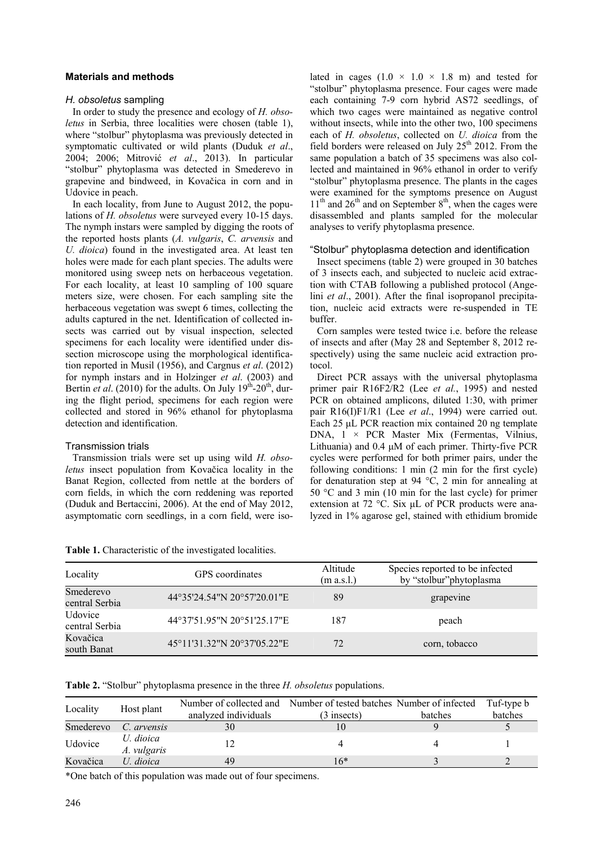## **Materials and methods**

#### *H. obsoletus* sampling

In order to study the presence and ecology of *H. obsoletus* in Serbia, three localities were chosen (table 1), where "stolbur" phytoplasma was previously detected in symptomatic cultivated or wild plants (Duduk *et al*., 2004; 2006; Mitrović *et al*., 2013). In particular "stolbur" phytoplasma was detected in Smederevo in grapevine and bindweed, in Kovačica in corn and in Udovice in peach.

In each locality, from June to August 2012, the populations of *H. obsoletus* were surveyed every 10-15 days. The nymph instars were sampled by digging the roots of the reported hosts plants (*A. vulgaris*, *C. arvensis* and *U. dioica*) found in the investigated area. At least ten holes were made for each plant species. The adults were monitored using sweep nets on herbaceous vegetation. For each locality, at least 10 sampling of 100 square meters size, were chosen. For each sampling site the herbaceous vegetation was swept 6 times, collecting the adults captured in the net. Identification of collected insects was carried out by visual inspection, selected specimens for each locality were identified under dissection microscope using the morphological identification reported in Musil (1956), and Cargnus *et al*. (2012) for nymph instars and in Holzinger *et al*. (2003) and Bertin *et al.* (2010) for the adults. On July  $19<sup>th</sup>$ -20<sup>th</sup>, during the flight period, specimens for each region were collected and stored in 96% ethanol for phytoplasma detection and identification.

## Transmission trials

Transmission trials were set up using wild *H. obsoletus* insect population from Kovačica locality in the Banat Region, collected from nettle at the borders of corn fields, in which the corn reddening was reported (Duduk and Bertaccini, 2006). At the end of May 2012, asymptomatic corn seedlings, in a corn field, were isolated in cages  $(1.0 \times 1.0 \times 1.8 \text{ m})$  and tested for "stolbur" phytoplasma presence. Four cages were made each containing 7-9 corn hybrid AS72 seedlings, of which two cages were maintained as negative control without insects, while into the other two, 100 specimens each of *H. obsoletus*, collected on *U. dioica* from the field borders were released on July  $25<sup>th</sup>$  2012. From the same population a batch of 35 specimens was also collected and maintained in 96% ethanol in order to verify "stolbur" phytoplasma presence. The plants in the cages were examined for the symptoms presence on August  $11<sup>th</sup>$  and  $26<sup>th</sup>$  and on September  $8<sup>th</sup>$ , when the cages were disassembled and plants sampled for the molecular analyses to verify phytoplasma presence.

#### "Stolbur" phytoplasma detection and identification

Insect specimens (table 2) were grouped in 30 batches of 3 insects each, and subjected to nucleic acid extraction with CTAB following a published protocol (Angelini *et al*., 2001). After the final isopropanol precipitation, nucleic acid extracts were re-suspended in TE buffer.

Corn samples were tested twice i.e. before the release of insects and after (May 28 and September 8, 2012 respectively) using the same nucleic acid extraction protocol.

Direct PCR assays with the universal phytoplasma primer pair R16F2/R2 (Lee *et al.*, 1995) and nested PCR on obtained amplicons, diluted 1:30, with primer pair R16(I)F1/R1 (Lee *et al*., 1994) were carried out. Each 25 µL PCR reaction mix contained 20 ng template DNA, 1 × PCR Master Mix (Fermentas, Vilnius, Lithuania) and  $0.4 \mu M$  of each primer. Thirty-five PCR cycles were performed for both primer pairs, under the following conditions: 1 min (2 min for the first cycle) for denaturation step at 94  $^{\circ}$ C, 2 min for annealing at 50 °C and 3 min (10 min for the last cycle) for primer extension at 72 °C. Six uL of PCR products were analyzed in 1% agarose gel, stained with ethidium bromide

| Locality                         | GPS coordinates             | Altitude<br>(m a.s.l.) | Species reported to be infected<br>by "stolbur" phytoplasma |
|----------------------------------|-----------------------------|------------------------|-------------------------------------------------------------|
| Smederevo<br>central Serbia      | 44°35'24.54"N 20°57'20.01"E | 89                     | grapevine                                                   |
| <b>Udovice</b><br>central Serbia | 44°37'51.95"N 20°51'25.17"E | 187                    | peach                                                       |
| Kovačica<br>south Banat          | 45°11'31.32"N 20°37'05.22"E | 72                     | corn, tobacco                                               |

**Table 1.** Characteristic of the investigated localities.

|  |  | Table 2. "Stolbur" phytoplasma presence in the three <i>H. obsoletus</i> populations. |  |
|--|--|---------------------------------------------------------------------------------------|--|
|--|--|---------------------------------------------------------------------------------------|--|

| Locality  | Host plant               |                      | Number of collected and Number of tested batches Number of infected |         | Tuf-type b |
|-----------|--------------------------|----------------------|---------------------------------------------------------------------|---------|------------|
|           |                          | analyzed individuals | $(3$ insects)                                                       | batches | batches    |
| Smederevo | C. arvensis              | 30                   |                                                                     |         |            |
| Udovice   | U. dioica<br>A. vulgaris |                      |                                                                     |         |            |
| Kovačica  | U. dioica                | 49                   | $6*$                                                                |         |            |

\*One batch of this population was made out of four specimens.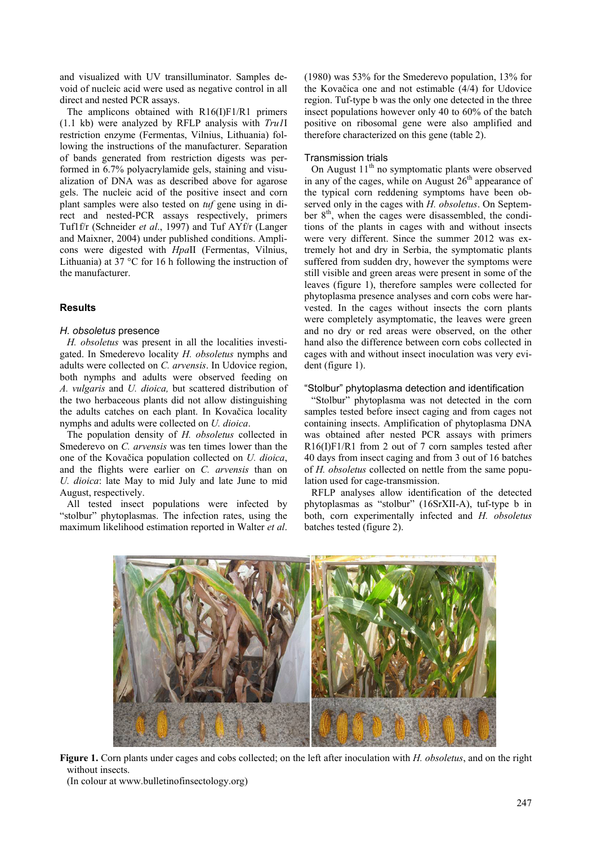and visualized with UV transilluminator. Samples devoid of nucleic acid were used as negative control in all direct and nested PCR assays.

The amplicons obtained with R16(I)F1/R1 primers (1.1 kb) were analyzed by RFLP analysis with *Tru1*I restriction enzyme (Fermentas, Vilnius, Lithuania) following the instructions of the manufacturer. Separation of bands generated from restriction digests was performed in 6.7% polyacrylamide gels, staining and visualization of DNA was as described above for agarose gels. The nucleic acid of the positive insect and corn plant samples were also tested on *tuf* gene using in direct and nested-PCR assays respectively, primers Tuf1f/r (Schneider *et al*., 1997) and Tuf AYf/r (Langer and Maixner, 2004) under published conditions. Amplicons were digested with *Hpa*II (Fermentas, Vilnius, Lithuania) at 37 °C for 16 h following the instruction of the manufacturer.

## **Results**

## *H. obsoletus* presence

*H. obsoletus* was present in all the localities investigated. In Smederevo locality *H. obsoletus* nymphs and adults were collected on *C. arvensis*. In Udovice region, both nymphs and adults were observed feeding on *A. vulgaris* and *U. dioica,* but scattered distribution of the two herbaceous plants did not allow distinguishing the adults catches on each plant. In Kovačica locality nymphs and adults were collected on *U. dioica*.

The population density of *H. obsoletus* collected in Smederevo on *C. arvensis* was ten times lower than the one of the Kovačica population collected on *U. dioica*, and the flights were earlier on *C. arvensis* than on *U. dioica*: late May to mid July and late June to mid August, respectively.

All tested insect populations were infected by "stolbur" phytoplasmas. The infection rates, using the maximum likelihood estimation reported in Walter *et al*. (1980) was 53% for the Smederevo population, 13% for the Kovačica one and not estimable (4/4) for Udovice region. Tuf-type b was the only one detected in the three insect populations however only 40 to 60% of the batch positive on ribosomal gene were also amplified and therefore characterized on this gene (table 2).

## Transmission trials

On August  $11<sup>th</sup>$  no symptomatic plants were observed in any of the cages, while on August  $26<sup>th</sup>$  appearance of the typical corn reddening symptoms have been observed only in the cages with *H. obsoletus*. On September  $8<sup>th</sup>$ , when the cages were disassembled, the conditions of the plants in cages with and without insects were very different. Since the summer 2012 was extremely hot and dry in Serbia, the symptomatic plants suffered from sudden dry, however the symptoms were still visible and green areas were present in some of the leaves (figure 1), therefore samples were collected for phytoplasma presence analyses and corn cobs were harvested. In the cages without insects the corn plants were completely asymptomatic, the leaves were green and no dry or red areas were observed, on the other hand also the difference between corn cobs collected in cages with and without insect inoculation was very evident (figure 1).

## "Stolbur" phytoplasma detection and identification

"Stolbur" phytoplasma was not detected in the corn samples tested before insect caging and from cages not containing insects. Amplification of phytoplasma DNA was obtained after nested PCR assays with primers R16(I)F1/R1 from 2 out of 7 corn samples tested after 40 days from insect caging and from 3 out of 16 batches of *H. obsoletus* collected on nettle from the same population used for cage-transmission.

RFLP analyses allow identification of the detected phytoplasmas as "stolbur" (16SrXII-A), tuf-type b in both, corn experimentally infected and *H. obsoletus* batches tested (figure 2).



**Figure 1.** Corn plants under cages and cobs collected; on the left after inoculation with *H. obsoletus*, and on the right without insects.

(In colour at www.bulletinofinsectology.org)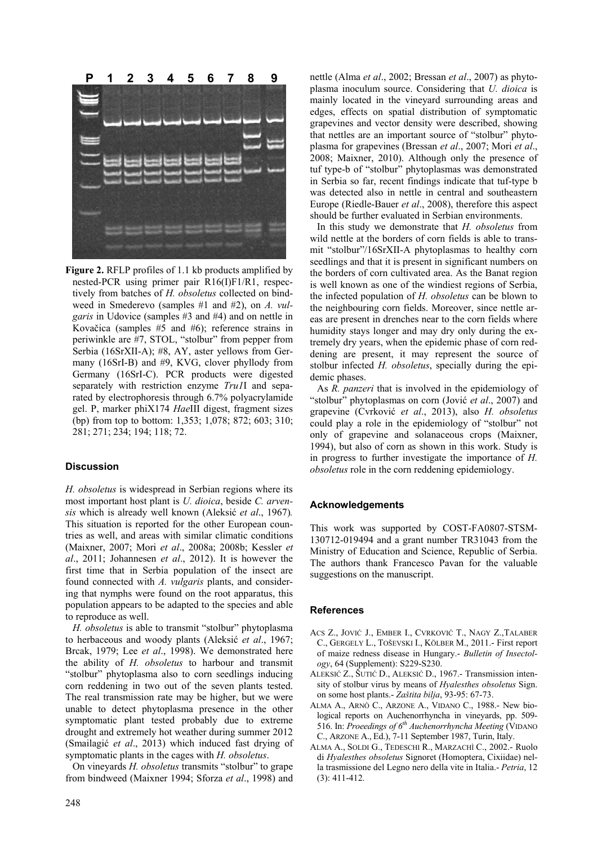

**Figure 2.** RFLP profiles of 1.1 kb products amplified by nested-PCR using primer pair R16(I)F1/R1, respectively from batches of *H. obsoletus* collected on bindweed in Smederevo (samples #1 and #2), on *A. vulgaris* in Udovice (samples #3 and #4) and on nettle in Kovačica (samples #5 and #6); reference strains in periwinkle are #7, STOL, "stolbur" from pepper from Serbia (16SrXII-A); #8, AY, aster yellows from Germany (16SrI-B) and #9, KVG, clover phyllody from Germany (16SrI-C). PCR products were digested separately with restriction enzyme *Tru1*I and separated by electrophoresis through 6.7% polyacrylamide gel. P, marker phiX174 *Hae*III digest, fragment sizes (bp) from top to bottom: 1,353; 1,078; 872; 603; 310; 281; 271; 234; 194; 118; 72.

## **Discussion**

*H. obsoletus* is widespread in Serbian regions where its most important host plant is *U. dioica*, beside *C. arvensis* which is already well known (Aleksić *et al*., 1967)*.* This situation is reported for the other European countries as well, and areas with similar climatic conditions (Maixner, 2007; Mori *et al*., 2008a; 2008b; Kessler *et al*., 2011; Johannesen *et al*., 2012). It is however the first time that in Serbia population of the insect are found connected with *A. vulgaris* plants, and considering that nymphs were found on the root apparatus, this population appears to be adapted to the species and able to reproduce as well.

*H. obsoletus* is able to transmit "stolbur" phytoplasma to herbaceous and woody plants (Aleksić *et al*., 1967; Brcak, 1979; Lee *et al*., 1998). We demonstrated here the ability of *H. obsoletus* to harbour and transmit "stolbur" phytoplasma also to corn seedlings inducing corn reddening in two out of the seven plants tested. The real transmission rate may be higher, but we were unable to detect phytoplasma presence in the other symptomatic plant tested probably due to extreme drought and extremely hot weather during summer 2012 (Smailagić *et al*., 2013) which induced fast drying of symptomatic plants in the cages with *H. obsoletus*.

On vineyards *H. obsoletus* transmits "stolbur" to grape from bindweed (Maixner 1994; Sforza *et al*., 1998) and nettle (Alma *et al*., 2002; Bressan *et al*., 2007) as phytoplasma inoculum source. Considering that *U. dioica* is mainly located in the vineyard surrounding areas and edges, effects on spatial distribution of symptomatic grapevines and vector density were described, showing that nettles are an important source of "stolbur" phytoplasma for grapevines (Bressan *et al*., 2007; Mori *et al*., 2008; Maixner, 2010). Although only the presence of tuf type-b of "stolbur" phytoplasmas was demonstrated in Serbia so far, recent findings indicate that tuf-type b was detected also in nettle in central and southeastern Europe (Riedle-Bauer *et al*., 2008), therefore this aspect should be further evaluated in Serbian environments.

In this study we demonstrate that *H. obsoletus* from wild nettle at the borders of corn fields is able to transmit "stolbur"/16SrXII-A phytoplasmas to healthy corn seedlings and that it is present in significant numbers on the borders of corn cultivated area. As the Banat region is well known as one of the windiest regions of Serbia, the infected population of *H. obsoletus* can be blown to the neighbouring corn fields. Moreover, since nettle areas are present in drenches near to the corn fields where humidity stays longer and may dry only during the extremely dry years, when the epidemic phase of corn reddening are present, it may represent the source of stolbur infected *H. obsoletus*, specially during the epidemic phases.

As *R. panzeri* that is involved in the epidemiology of "stolbur" phytoplasmas on corn (Jović *et al*., 2007) and grapevine (Cvrković *et al*., 2013), also *H. obsoletus*  could play a role in the epidemiology of "stolbur" not only of grapevine and solanaceous crops (Maixner, 1994), but also of corn as shown in this work. Study is in progress to further investigate the importance of *H. obsoletus* role in the corn reddening epidemiology.

## **Acknowledgements**

This work was supported by COST-FA0807-STSM-130712-019494 and a grant number TR31043 from the Ministry of Education and Science, Republic of Serbia. The authors thank Francesco Pavan for the valuable suggestions on the manuscript.

#### **References**

- ACS Z., JOVIĆ J., EMBER I., CVRKOVIĆ T., NAGY Z.,TALABER C., GERGELY L., TOŠEVSKI I., KÖLBER M., 2011.- First report of maize redness disease in Hungary.- *Bulletin of Insectology*, 64 (Supplement): S229-S230.
- ALEKSIĆ Z., ŠUTIĆ D., ALEKSIĆ D., 1967.- Transmission intensity of stolbur virus by means of *Hyalesthes obsoletus* Sign. on some host plants.- *Zaštita bilja*, 93-95: 67-73.
- ALMA A., ARNÒ C., ARZONE A., VIDANO C., 1988.- New biological reports on Auchenorrhyncha in vineyards, pp. 509- 516. In: *Proeedings of 6th Auchenorrhyncha Meeting* (VIDANO C., ARZONE A., Ed.), 7-11 September 1987, Turin, Italy.
- ALMA A., SOLDI G., TEDESCHI R., MARZACHÌ C., 2002.- Ruolo di *Hyalesthes obsoletus* Signoret (Homoptera, Cixiidae) nella trasmissione del Legno nero della vite in Italia.- *Petria*, 12 (3): 411-412.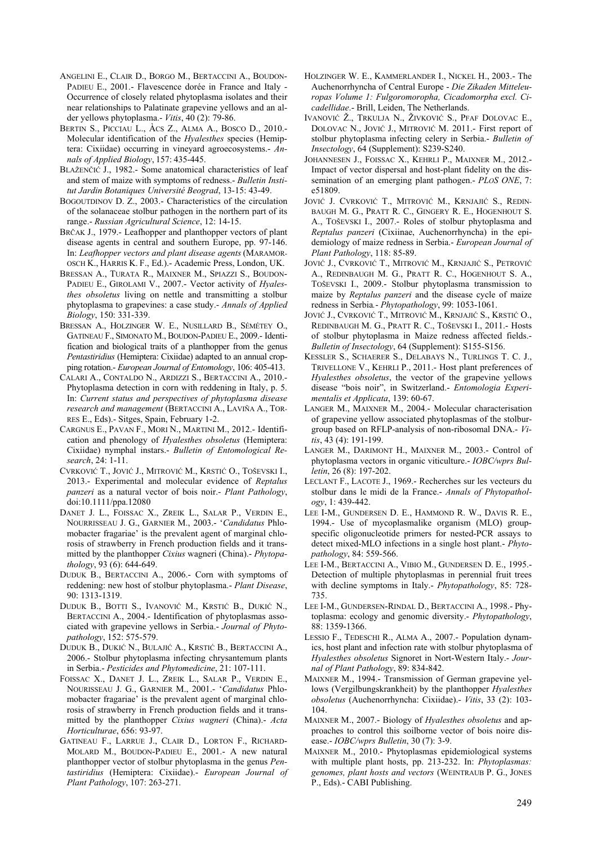- ANGELINI E., CLAIR D., BORGO M., BERTACCINI A., BOUDON-PADIEU E., 2001.- Flavescence dorée in France and Italy - Occurrence of closely related phytoplasma isolates and their near relationships to Palatinate grapevine yellows and an alder yellows phytoplasma.- *Vitis*, 40 (2): 79-86.
- BERTIN S., PICCIAU L., ÀCS Z., ALMA A., BOSCO D., 2010.- Molecular identification of the *Hyalesthes* species (Hemiptera: Cixiidae) occurring in vineyard agroecosystems.- *Annals of Applied Biology*, 157: 435-445.
- BLAŽENČIĆ J., 1982.- Some anatomical characteristics of leaf and stem of maize with symptoms of redness.- *Bulletin Institut Jardin Botaniques Université Beograd*, 13-15: 43-49.
- BOGOUTDINOV D. Z., 2003.- Characteristics of the circulation of the solanaceae stolbur pathogen in the northern part of its range.- *Russian Agricultural Science*, 12: 14-15.
- BRČAK J., 1979.- Leafhopper and planthopper vectors of plant disease agents in central and southern Europe, pp. 97-146. In: *Leafhopper vectors and plant disease agents* (MARAMOR-OSCH K., HARRIS K. F., Ed.).- Academic Press, London, UK.
- BRESSAN A., TURATA R., MAIXNER M., SPIAZZI S., BOUDON-PADIEU E., GIROLAMI V., 2007.- Vector activity of *Hyalesthes obsoletus* living on nettle and transmitting a stolbur phytoplasma to grapevines: a case study.- *Annals of Applied Biology*, 150: 331-339.
- BRESSAN A., HOLZINGER W. E., NUSILLARD B., SÉMÉTEY O., GATINEAU F., SIMONATO M., BOUDON-PADIEU E., 2009.- Identification and biological traits of a planthopper from the genus *Pentastiridius* (Hemiptera: Cixiidae) adapted to an annual cropping rotation.- *European Journal of Entomology*, 106: 405-413.
- CALARI A., CONTALDO N., ARDIZZI S., BERTACCINI A., 2010.- Phytoplasma detection in corn with reddening in Italy, p. 5. In: *Current status and perspectives of phytoplasma disease research and management* (BERTACCINI A., LAVIÑA A., TOR-RES E., Eds).- Sitges, Spain, February 1-2.
- CARGNUS E., PAVAN F., MORI N., MARTINI M., 2012.- Identification and phenology of *Hyalesthes obsoletus* (Hemiptera: Cixiidae) nymphal instars.- *Bulletin of Entomological Research*, 24: 1-11.
- CVRKOVIĆ T., JOVIĆ J., MITROVIĆ M., KRSTIĆ O., TOŠEVSKI I., 2013.- Experimental and molecular evidence of *Reptalus panzeri* as a natural vector of bois noir.- *Plant Pathology*, doi:10.1111/ppa.12080
- DANET J. L., FOISSAC X., ZREIK L., SALAR P., VERDIN E., NOURRISSEAU J. G., GARNIER M., 2003.- '*Candidatus* Phlomobacter fragariae' is the prevalent agent of marginal chlorosis of strawberry in French production fields and it transmitted by the planthopper *Cixius* wagneri (China).- *Phytopathology*, 93 (6): 644-649.
- DUDUK B., BERTACCINI A., 2006.- Corn with symptoms of reddening: new host of stolbur phytoplasma.- *Plant Disease*, 90: 1313-1319.
- DUDUK B., BOTTI S., IVANOVIĆ M., KRSTIĆ B., DUKIĆ N., BERTACCINI A., 2004.- Identification of phytoplasmas associated with grapevine yellows in Serbia.- *Journal of Phytopathology*, 152: 575-579.
- DUDUK B., DUKIĆ N., BULAJIĆ A., KRSTIĆ B., BERTACCINI A., 2006.- Stolbur phytoplasma infecting chrysantemum plants in Serbia.- *Pesticides and Phytomedicine*, 21: 107-111.
- FOISSAC X., DANET J. L., ZREIK L., SALAR P., VERDIN E., NOURISSEAU J. G., GARNIER M., 2001.- '*Candidatus* Phlomobacter fragariae' is the prevalent agent of marginal chlorosis of strawberry in French production fields and it transmitted by the planthopper *Cixius wagneri* (China).- *Acta Horticulturae*, 656: 93-97.
- GATINEAU F., LARRUE J., CLAIR D., LORTON F., RICHARD-MOLARD M., BOUDON-PADIEU E., 2001.- A new natural planthopper vector of stolbur phytoplasma in the genus *Pentastiridius* (Hemiptera: Cixiidae).- *European Journal of Plant Pathology*, 107: 263-271.
- HOLZINGER W. E., KAMMERLANDER I., NICKEL H., 2003.- The Auchenorrhyncha of Central Europe - *Die Zikaden Mitteleuropas Volume 1: Fulgoromoropha, Cicadomorpha excl. Cicadellidae*.- Brill, Leiden, The Netherlands.
- IVANOVIĆ Ž., TRKULJA N., ŽIVKOVIĆ S., PFAF DOLOVAC E., DOLOVAC N., JOVIĆ J., MITROVIĆ M. 2011.- First report of stolbur phytoplasma infecting celery in Serbia.- *Bulletin of Insectology*, 64 (Supplement): S239-S240.
- JOHANNESEN J., FOISSAC X., KEHRLI P., MAIXNER M., 2012.- Impact of vector dispersal and host-plant fidelity on the dissemination of an emerging plant pathogen.- *PLOS ONE*, 7: e51809.
- JOVIĆ J. CVRKOVIĆ T., MITROVIĆ M., KRNJAJIĆ S., REDIN-BAUGH M. G., PRATT R. C., GINGERY R. E., HOGENHOUT S. A., TOŠEVSKI I., 2007.- Roles of stolbur phytoplasma and *Reptalus panzeri* (Cixiinae, Auchenorrhyncha) in the epidemiology of maize redness in Serbia.- *European Journal of Plant Pathology*, 118: 85-89.
- JOVIĆ J., CVRKOVIĆ T., MITROVIĆ M., KRNJAJIĆ S., PETROVIĆ A., REDINBAUGH M. G., PRATT R. C., HOGENHOUT S. A., TOŠEVSKI I., 2009.- Stolbur phytoplasma transmission to maize by *Reptalus panzeri* and the disease cycle of maize redness in Serbia*.*- *Phytopathology*, 99: 1053-1061.
- JOVIĆ J., CVRKOVIĆ T., MITROVIĆ M., KRNJAJIĆ S., KRSTIĆ O., REDINBAUGH M. G., PRATT R. C., TOŠEVSKI I., 2011.- Hosts of stolbur phytoplasma in Maize redness affected fields.- *Bulletin of Insectology*, 64 (Supplement): S155-S156.
- KESSLER S., SCHAERER S., DELABAYS N., TURLINGS T. C. J., TRIVELLONE V., KEHRLI P., 2011.- Host plant preferences of *Hyalesthes obsoletus*, the vector of the grapevine yellows disease "bois noir", in Switzerland.- *Entomologia Experimentalis et Applicata*, 139: 60-67.
- LANGER M., MAIXNER M., 2004.- Molecular characterisation of grapevine yellow associated phytoplasmas of the stolburgroup based on RFLP-analysis of non-ribosomal DNA.- *Vitis*, 43 (4): 191-199.
- LANGER M., DARIMONT H., MAIXNER M., 2003.- Control of phytoplasma vectors in organic viticulture.- *IOBC/wprs Bulletin*, 26 (8): 197-202.
- LECLANT F., LACOTE J., 1969.- Recherches sur les vecteurs du stolbur dans le midi de la France.- *Annals of Phytopathology*, 1: 439-442.
- LEE I-M., GUNDERSEN D. E., HAMMOND R. W., DAVIS R. E., 1994.- Use of mycoplasmalike organism (MLO) groupspecific oligonucleotide primers for nested-PCR assays to detect mixed-MLO infections in a single host plant.- *Phytopathology*, 84: 559-566.
- LEE I-M., BERTACCINI A., VIBIO M., GUNDERSEN D. E., 1995.- Detection of multiple phytoplasmas in perennial fruit trees with decline symptoms in Italy.- *Phytopathology*, 85: 728- 735.
- LEE I-M., GUNDERSEN-RINDAL D., BERTACCINI A., 1998.- Phytoplasma: ecology and genomic diversity.- *Phytopathology*, 88: 1359-1366.
- LESSIO F., TEDESCHI R., ALMA A., 2007.- Population dynamics, host plant and infection rate with stolbur phytoplasma of *Hyalesthes obsoletus* Signoret in Nort-Western Italy.- *Journal of Plant Pathology*, 89: 834-842.
- MAIXNER M., 1994.- Transmission of German grapevine yellows (Vergilbungskrankheit) by the planthopper *Hyalesthes obsoletus* (Auchenorrhyncha: Cixiidae).- *Vitis*, 33 (2): 103- 104.
- MAIXNER M., 2007.- Biology of *Hyalesthes obsoletus* and approaches to control this soilborne vector of bois noire disease.- *IOBC/wprs Bulletin*, 30 (7): 3-9.
- MAIXNER M., 2010.- Phytoplasmas epidemiological systems with multiple plant hosts, pp. 213-232. In: *Phytoplasmas: genomes, plant hosts and vectors* (WEINTRAUB P. G., JONES P., Eds).- CABI Publishing.